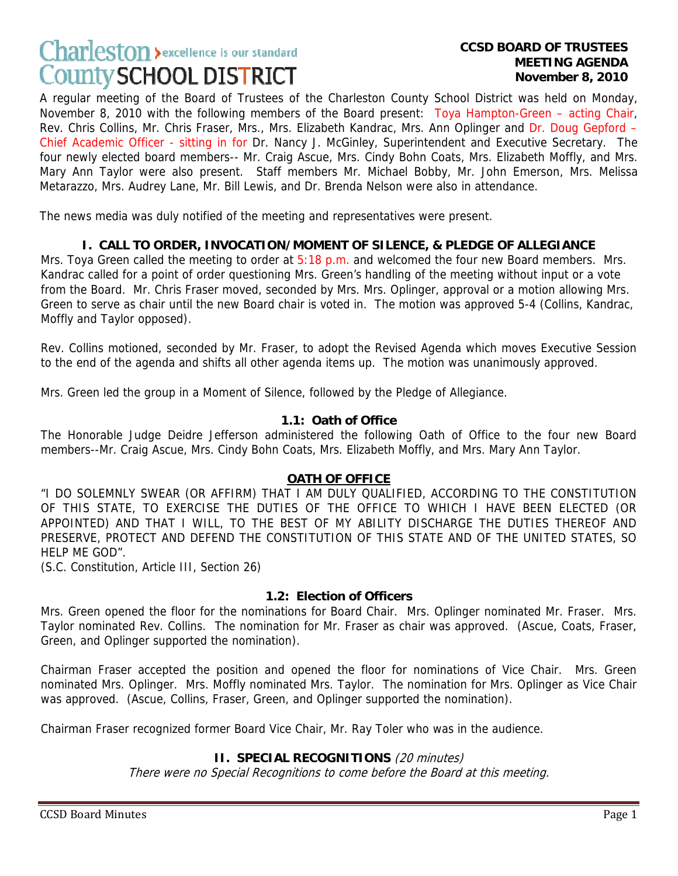# Charleston > excellence is our standard **County SCHOOL DISTRICT**

#### **CCSD BOARD OF TRUSTEES MEETING AGENDA November 8, 2010**

A regular meeting of the Board of Trustees of the Charleston County School District was held on Monday, November 8, 2010 with the following members of the Board present: Toya Hampton-Green – acting Chair, Rev. Chris Collins, Mr. Chris Fraser, Mrs., Mrs. Elizabeth Kandrac, Mrs. Ann Oplinger and Dr. Doug Gepford -Chief Academic Officer - sitting in for Dr. Nancy J. McGinley, Superintendent and Executive Secretary. The four newly elected board members-- Mr. Craig Ascue, Mrs. Cindy Bohn Coats, Mrs. Elizabeth Moffly, and Mrs. Mary Ann Taylor were also present. Staff members Mr. Michael Bobby, Mr. John Emerson, Mrs. Melissa Metarazzo, Mrs. Audrey Lane, Mr. Bill Lewis, and Dr. Brenda Nelson were also in attendance.

The news media was duly notified of the meeting and representatives were present.

## **I. CALL TO ORDER, INVOCATION/MOMENT OF SILENCE, & PLEDGE OF ALLEGIANCE**

Mrs. Toya Green called the meeting to order at 5:18 p.m. and welcomed the four new Board members. Mrs. Kandrac called for a point of order questioning Mrs. Green's handling of the meeting without input or a vote from the Board. Mr. Chris Fraser moved, seconded by Mrs. Mrs. Oplinger, approval or a motion allowing Mrs. Green to serve as chair until the new Board chair is voted in. The motion was approved 5-4 (Collins, Kandrac, Moffly and Taylor opposed).

Rev. Collins motioned, seconded by Mr. Fraser, to adopt the Revised Agenda which moves Executive Session to the end of the agenda and shifts all other agenda items up. The motion was unanimously approved.

Mrs. Green led the group in a Moment of Silence, followed by the Pledge of Allegiance.

#### **1.1: Oath of Office**

The Honorable Judge Deidre Jefferson administered the following Oath of Office to the four new Board members--Mr. Craig Ascue, Mrs. Cindy Bohn Coats, Mrs. Elizabeth Moffly, and Mrs. Mary Ann Taylor.

#### **OATH OF OFFICE**

"I DO SOLEMNLY SWEAR (OR AFFIRM) THAT I AM DULY QUALIFIED, ACCORDING TO THE CONSTITUTION OF THIS STATE, TO EXERCISE THE DUTIES OF THE OFFICE TO WHICH I HAVE BEEN ELECTED (OR APPOINTED) AND THAT I WILL, TO THE BEST OF MY ABILITY DISCHARGE THE DUTIES THEREOF AND PRESERVE, PROTECT AND DEFEND THE CONSTITUTION OF THIS STATE AND OF THE UNITED STATES, SO HELP ME GOD".

(S.C. Constitution, Article III, Section 26)

#### **1.2: Election of Officers**

Mrs. Green opened the floor for the nominations for Board Chair. Mrs. Oplinger nominated Mr. Fraser. Mrs. Taylor nominated Rev. Collins. The nomination for Mr. Fraser as chair was approved. (Ascue, Coats, Fraser, Green, and Oplinger supported the nomination).

Chairman Fraser accepted the position and opened the floor for nominations of Vice Chair. Mrs. Green nominated Mrs. Oplinger. Mrs. Moffly nominated Mrs. Taylor. The nomination for Mrs. Oplinger as Vice Chair was approved. (Ascue, Collins, Fraser, Green, and Oplinger supported the nomination).

Chairman Fraser recognized former Board Vice Chair, Mr. Ray Toler who was in the audience.

#### **II. SPECIAL RECOGNITIONS** (20 minutes)

There were no Special Recognitions to come before the Board at this meeting.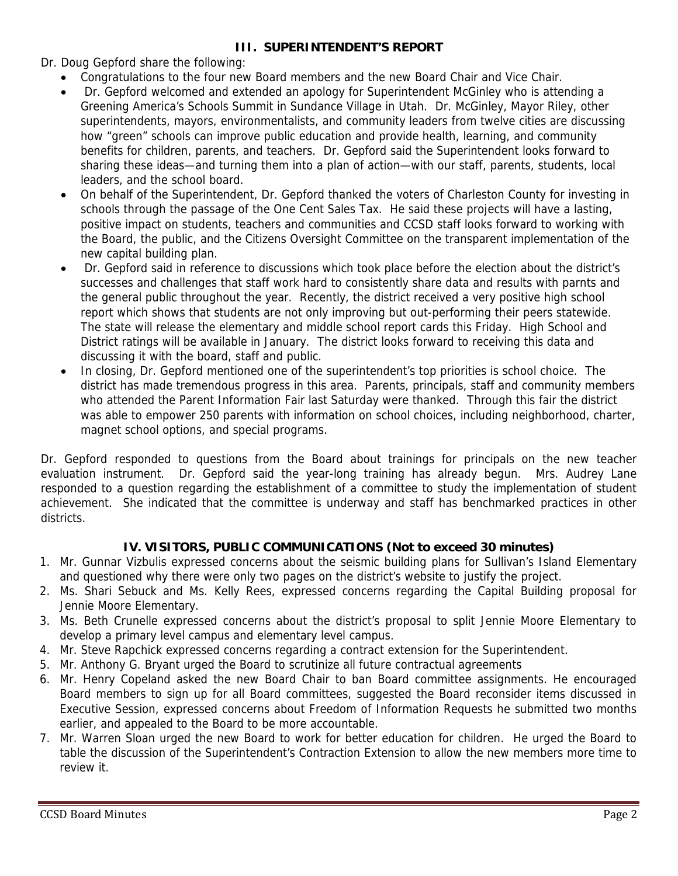## **III. SUPERINTENDENT'S REPORT**

Dr. Doug Gepford share the following:

- Congratulations to the four new Board members and the new Board Chair and Vice Chair.
- Dr. Gepford welcomed and extended an apology for Superintendent McGinley who is attending a Greening America's Schools Summit in Sundance Village in Utah. Dr. McGinley, Mayor Riley, other superintendents, mayors, environmentalists, and community leaders from twelve cities are discussing how "green" schools can improve public education and provide health, learning, and community benefits for children, parents, and teachers. Dr. Gepford said the Superintendent looks forward to sharing these ideas—and turning them into a plan of action—with our staff, parents, students, local leaders, and the school board.
- On behalf of the Superintendent, Dr. Gepford thanked the voters of Charleston County for investing in schools through the passage of the One Cent Sales Tax. He said these projects will have a lasting, positive impact on students, teachers and communities and CCSD staff looks forward to working with the Board, the public, and the Citizens Oversight Committee on the transparent implementation of the new capital building plan.
- Dr. Gepford said in reference to discussions which took place before the election about the district's successes and challenges that staff work hard to consistently share data and results with parnts and the general public throughout the year. Recently, the district received a very positive high school report which shows that students are not only improving but out-performing their peers statewide. The state will release the elementary and middle school report cards this Friday. High School and District ratings will be available in January. The district looks forward to receiving this data and discussing it with the board, staff and public.
- In closing, Dr. Gepford mentioned one of the superintendent's top priorities is school choice. The district has made tremendous progress in this area. Parents, principals, staff and community members who attended the Parent Information Fair last Saturday were thanked. Through this fair the district was able to empower 250 parents with information on school choices, including neighborhood, charter, magnet school options, and special programs.

Dr. Gepford responded to questions from the Board about trainings for principals on the new teacher evaluation instrument. Dr. Gepford said the year-long training has already begun. Mrs. Audrey Lane responded to a question regarding the establishment of a committee to study the implementation of student achievement. She indicated that the committee is underway and staff has benchmarked practices in other districts.

# **IV. VISITORS, PUBLIC COMMUNICATIONS (Not to exceed 30 minutes)**

- 1. Mr. Gunnar Vizbulis expressed concerns about the seismic building plans for Sullivan's Island Elementary and questioned why there were only two pages on the district's website to justify the project.
- 2. Ms. Shari Sebuck and Ms. Kelly Rees, expressed concerns regarding the Capital Building proposal for Jennie Moore Elementary.
- 3. Ms. Beth Crunelle expressed concerns about the district's proposal to split Jennie Moore Elementary to develop a primary level campus and elementary level campus.
- 4. Mr. Steve Rapchick expressed concerns regarding a contract extension for the Superintendent.
- 5. Mr. Anthony G. Bryant urged the Board to scrutinize all future contractual agreements
- 6. Mr. Henry Copeland asked the new Board Chair to ban Board committee assignments. He encouraged Board members to sign up for all Board committees, suggested the Board reconsider items discussed in Executive Session, expressed concerns about Freedom of Information Requests he submitted two months earlier, and appealed to the Board to be more accountable.
- 7. Mr. Warren Sloan urged the new Board to work for better education for children. He urged the Board to table the discussion of the Superintendent's Contraction Extension to allow the new members more time to review it.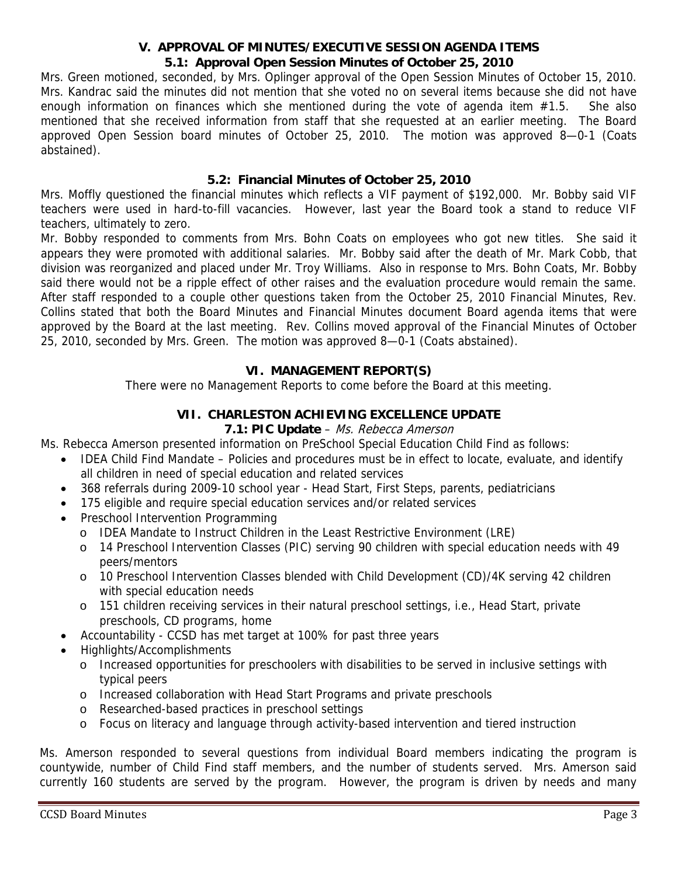#### **V. APPROVAL OF MINUTES/EXECUTIVE SESSION AGENDA ITEMS 5.1: Approval Open Session Minutes of October 25, 2010**

Mrs. Green motioned, seconded, by Mrs. Oplinger approval of the Open Session Minutes of October 15, 2010. Mrs. Kandrac said the minutes did not mention that she voted no on several items because she did not have enough information on finances which she mentioned during the vote of agenda item #1.5. She also mentioned that she received information from staff that she requested at an earlier meeting. The Board approved Open Session board minutes of October 25, 2010. The motion was approved 8—0-1 (Coats abstained).

## **5.2: Financial Minutes of October 25, 2010**

Mrs. Moffly questioned the financial minutes which reflects a VIF payment of \$192,000. Mr. Bobby said VIF teachers were used in hard-to-fill vacancies. However, last year the Board took a stand to reduce VIF teachers, ultimately to zero.

Mr. Bobby responded to comments from Mrs. Bohn Coats on employees who got new titles. She said it appears they were promoted with additional salaries. Mr. Bobby said after the death of Mr. Mark Cobb, that division was reorganized and placed under Mr. Troy Williams. Also in response to Mrs. Bohn Coats, Mr. Bobby said there would not be a ripple effect of other raises and the evaluation procedure would remain the same. After staff responded to a couple other questions taken from the October 25, 2010 Financial Minutes, Rev. Collins stated that both the Board Minutes and Financial Minutes document Board agenda items that were approved by the Board at the last meeting. Rev. Collins moved approval of the Financial Minutes of October 25, 2010, seconded by Mrs. Green. The motion was approved 8—0-1 (Coats abstained).

## **VI. MANAGEMENT REPORT(S)**

There were no Management Reports to come before the Board at this meeting.

## **VII. CHARLESTON ACHIEVING EXCELLENCE UPDATE**

## **7.1: PIC Update** – Ms. Rebecca Amerson

Ms. Rebecca Amerson presented information on PreSchool Special Education Child Find as follows:

- IDEA Child Find Mandate Policies and procedures must be in effect to locate, evaluate, and identify all children in need of special education and related services
- 368 referrals during 2009-10 school year Head Start, First Steps, parents, pediatricians
- 175 eligible and require special education services and/or related services
- Preschool Intervention Programming
	- o IDEA Mandate to Instruct Children in the Least Restrictive Environment (LRE)
	- o 14 Preschool Intervention Classes (PIC) serving 90 children with special education needs with 49 peers/mentors
	- o 10 Preschool Intervention Classes blended with Child Development (CD)/4K serving 42 children with special education needs
	- o 151 children receiving services in their natural preschool settings, i.e., Head Start, private preschools, CD programs, home
- Accountability CCSD has met target at 100% for past three years
- Highlights/Accomplishments
	- o Increased opportunities for preschoolers with disabilities to be served in inclusive settings with typical peers
	- o Increased collaboration with Head Start Programs and private preschools
	- o Researched-based practices in preschool settings
	- o Focus on literacy and language through activity-based intervention and tiered instruction

Ms. Amerson responded to several questions from individual Board members indicating the program is countywide, number of Child Find staff members, and the number of students served. Mrs. Amerson said currently 160 students are served by the program. However, the program is driven by needs and many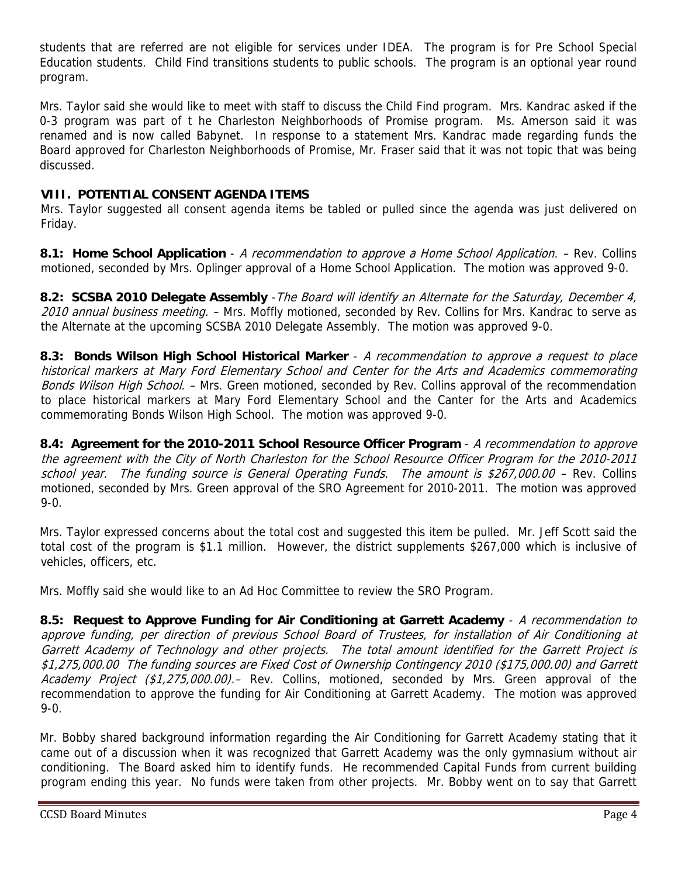students that are referred are not eligible for services under IDEA. The program is for Pre School Special Education students. Child Find transitions students to public schools. The program is an optional year round program.

Mrs. Taylor said she would like to meet with staff to discuss the Child Find program. Mrs. Kandrac asked if the 0-3 program was part of t he Charleston Neighborhoods of Promise program. Ms. Amerson said it was renamed and is now called Babynet. In response to a statement Mrs. Kandrac made regarding funds the Board approved for Charleston Neighborhoods of Promise, Mr. Fraser said that it was not topic that was being discussed.

## **VIII. POTENTIAL CONSENT AGENDA ITEMS**

Mrs. Taylor suggested all consent agenda items be tabled or pulled since the agenda was just delivered on Friday.

**8.1: Home School Application** - A recommendation to approve a Home School Application. – Rev. Collins motioned, seconded by Mrs. Oplinger approval of a Home School Application. The motion was approved 9-0.

**8.2: SCSBA 2010 Delegate Assembly** -The Board will identify an Alternate for the Saturday, December 4, 2010 annual business meeting. – Mrs. Moffly motioned, seconded by Rev. Collins for Mrs. Kandrac to serve as the Alternate at the upcoming SCSBA 2010 Delegate Assembly. The motion was approved 9-0.

**8.3: Bonds Wilson High School Historical Marker** - A recommendation to approve a request to place historical markers at Mary Ford Elementary School and Center for the Arts and Academics commemorating Bonds Wilson High School. – Mrs. Green motioned, seconded by Rev. Collins approval of the recommendation to place historical markers at Mary Ford Elementary School and the Canter for the Arts and Academics commemorating Bonds Wilson High School. The motion was approved 9-0.

**8.4: Agreement for the 2010-2011 School Resource Officer Program** - A recommendation to approve the agreement with the City of North Charleston for the School Resource Officer Program for the 2010-2011 school year. The funding source is General Operating Funds. The amount is \$267,000.00 - Rev. Collins motioned, seconded by Mrs. Green approval of the SRO Agreement for 2010-2011. The motion was approved 9-0.

Mrs. Taylor expressed concerns about the total cost and suggested this item be pulled. Mr. Jeff Scott said the total cost of the program is \$1.1 million. However, the district supplements \$267,000 which is inclusive of vehicles, officers, etc.

Mrs. Moffly said she would like to an Ad Hoc Committee to review the SRO Program.

**8.5: Request to Approve Funding for Air Conditioning at Garrett Academy** - A recommendation to approve funding, per direction of previous School Board of Trustees, for installation of Air Conditioning at Garrett Academy of Technology and other projects. The total amount identified for the Garrett Project is \$1,275,000.00 The funding sources are Fixed Cost of Ownership Contingency 2010 (\$175,000.00) and Garrett Academy Project (\$1,275,000.00). Rev. Collins, motioned, seconded by Mrs. Green approval of the recommendation to approve the funding for Air Conditioning at Garrett Academy. The motion was approved 9-0.

Mr. Bobby shared background information regarding the Air Conditioning for Garrett Academy stating that it came out of a discussion when it was recognized that Garrett Academy was the only gymnasium without air conditioning. The Board asked him to identify funds. He recommended Capital Funds from current building program ending this year. No funds were taken from other projects. Mr. Bobby went on to say that Garrett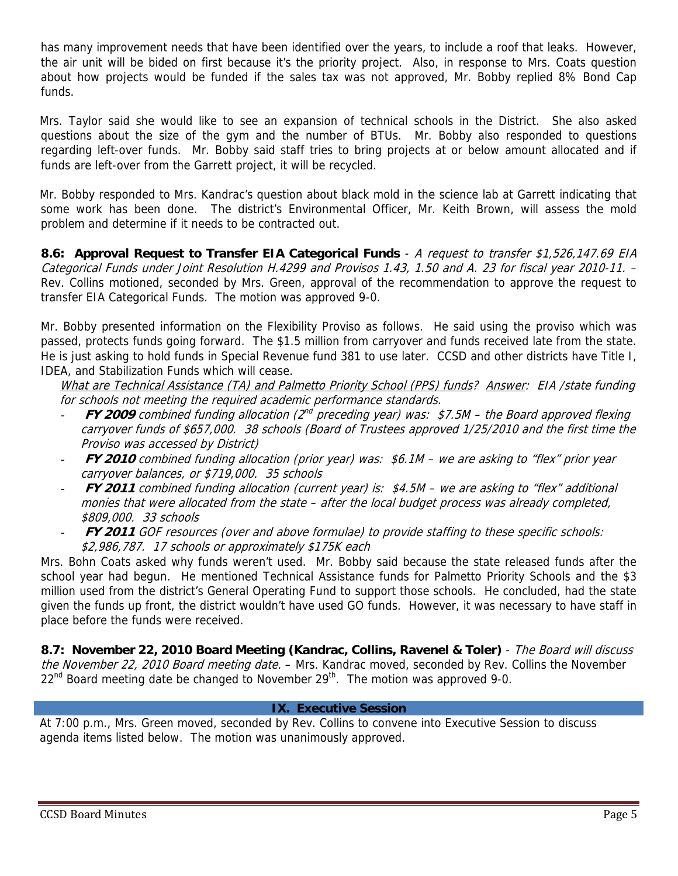has many improvement needs that have been identified over the years, to include a roof that leaks. However, the air unit will be bided on first because it's the priority project. Also, in response to Mrs. Coats question about how projects would be funded if the sales tax was not approved, Mr. Bobby replied 8% Bond Cap funds.

Mrs. Taylor said she would like to see an expansion of technical schools in the District. She also asked questions about the size of the gym and the number of BTUs. Mr. Bobby also responded to questions regarding left-over funds. Mr. Bobby said staff tries to bring projects at or below amount allocated and if funds are left-over from the Garrett project, it will be recycled.

Mr. Bobby responded to Mrs. Kandrac's question about black mold in the science lab at Garrett indicating that some work has been done. The district's Environmental Officer, Mr. Keith Brown, will assess the mold problem and determine if it needs to be contracted out.

**8.6: Approval Request to Transfer EIA Categorical Funds** - A request to transfer \$1,526,147.69 EIA Categorical Funds under Joint Resolution H.4299 and Provisos 1.43, 1.50 and A. 23 for fiscal year 2010-11. – Rev. Collins motioned, seconded by Mrs. Green, approval of the recommendation to approve the request to transfer EIA Categorical Funds. The motion was approved 9-0.

Mr. Bobby presented information on the Flexibility Proviso as follows. He said using the proviso which was passed, protects funds going forward. The \$1.5 million from carryover and funds received late from the state. He is just asking to hold funds in Special Revenue fund 381 to use later. CCSD and other districts have Title I, IDEA, and Stabilization Funds which will cease.

What are Technical Assistance (TA) and Palmetto Priority School (PPS) funds? Answer: EIA /state funding for schools not meeting the required academic performance standards.

- FY 2009 combined funding allocation (2<sup>nd</sup> preceding year) was: \$7.5M the Board approved flexing carryover funds of \$657,000. 38 schools (Board of Trustees approved 1/25/2010 and the first time the Proviso was accessed by District)
- **FY 2010** combined funding allocation (prior year) was: \$6.1M we are asking to "flex" prior year carryover balances, or \$719,000. 35 schools
- **FY 2011** combined funding allocation (current year) is: \$4.5M we are asking to "flex" additional monies that were allocated from the state – after the local budget process was already completed, \$809,000. 33 schools
- **FY 2011** GOF resources (over and above formulae) to provide staffing to these specific schools: \$2,986,787. 17 schools or approximately \$175K each

Mrs. Bohn Coats asked why funds weren't used. Mr. Bobby said because the state released funds after the school year had begun. He mentioned Technical Assistance funds for Palmetto Priority Schools and the \$3 million used from the district's General Operating Fund to support those schools. He concluded, had the state given the funds up front, the district wouldn't have used GO funds. However, it was necessary to have staff in place before the funds were received.

**8.7: November 22, 2010 Board Meeting (Kandrac, Collins, Ravenel & Toler)** - The Board will discuss the November 22, 2010 Board meeting date. – Mrs. Kandrac moved, seconded by Rev. Collins the November  $22<sup>nd</sup>$  Board meeting date be changed to November  $29<sup>th</sup>$ . The motion was approved 9-0.

## **IX. Executive Session**

At 7:00 p.m., Mrs. Green moved, seconded by Rev. Collins to convene into Executive Session to discuss agenda items listed below. The motion was unanimously approved.